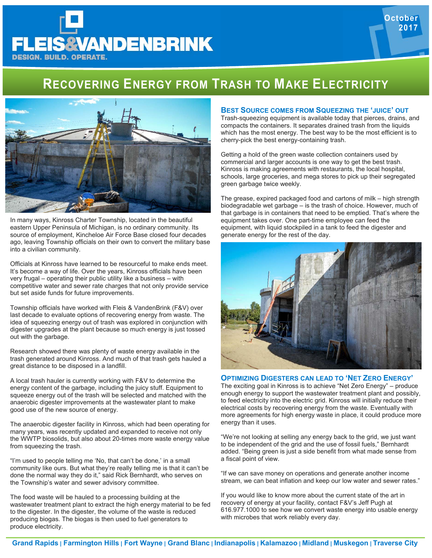## **RECOVERING ENERGY FROM TRASH TO MAKE ELECTRICITY**



**EIS&VANDENBRINK** 

**DESIGN. BUILD. OPERATE.** 

In many ways, Kinross Charter Township, located in the beautiful eastern Upper Peninsula of Michigan, is no ordinary community. Its source of employment, Kincheloe Air Force Base closed four decades ago, leaving Township officials on their own to convert the military base into a civilian community.

Officials at Kinross have learned to be resourceful to make ends meet. It's become a way of life. Over the years, Kinross officials have been very frugal – operating their public utility like a business – with competitive water and sewer rate charges that not only provide service but set aside funds for future improvements.

Township officials have worked with Fleis & VandenBrink (F&V) over last decade to evaluate options of recovering energy from waste. The idea of squeezing energy out of trash was explored in conjunction with digester upgrades at the plant because so much energy is just tossed out with the garbage.

Research showed there was plenty of waste energy available in the trash generated around Kinross. And much of that trash gets hauled a great distance to be disposed in a landfill.

A local trash hauler is currently working with F&V to determine the energy content of the garbage, including the juicy stuff. Equipment to squeeze energy out of the trash will be selected and matched with the anaerobic digester improvements at the wastewater plant to make good use of the new source of energy.

The anaerobic digester facility in Kinross, which had been operating for many years, was recently updated and expanded to receive not only the WWTP biosolids, but also about 20-times more waste energy value from squeezing the trash.

"I'm used to people telling me 'No, that can't be done,' in a small community like ours. But what they're really telling me is that it can't be done the normal way they do it," said Rick Bernhardt, who serves on the Township's water and sewer advisory committee.

The food waste will be hauled to a processing building at the wastewater treatment plant to extract the high energy material to be fed to the digester. In the digester, the volume of the waste is reduced producing biogas. The biogas is then used to fuel generators to produce electricity.

## **BEST SOURCE COMES FROM SQUEEZING THE 'JUICE' OUT**

Trash-squeezing equipment is available today that pierces, drains, and compacts the containers. It separates drained trash from the liquids which has the most energy. The best way to be the most efficient is to cherry-pick the best energy-containing trash.

**October 2017** 

Getting a hold of the green waste collection containers used by commercial and larger accounts is one way to get the best trash. Kinross is making agreements with restaurants, the local hospital, schools, large groceries, and mega stores to pick up their segregated green garbage twice weekly.

The grease, expired packaged food and cartons of milk – high strength biodegradable wet garbage – is the trash of choice. However, much of that garbage is in containers that need to be emptied. That's where the equipment takes over. One part-time employee can feed the equipment, with liquid stockpiled in a tank to feed the digester and generate energy for the rest of the day.



## **OPTIMIZING DIGESTERS CAN LEAD TO 'NET ZERO ENERGY'**

The exciting goal in Kinross is to achieve "Net Zero Energy" – produce enough energy to support the wastewater treatment plant and possibly, to feed electricity into the electric grid. Kinross will initially reduce their electrical costs by recovering energy from the waste. Eventually with more agreements for high energy waste in place, it could produce more energy than it uses.

"We're not looking at selling any energy back to the grid, we just want to be independent of the grid and the use of fossil fuels," Bernhardt added. "Being green is just a side benefit from what made sense from a fiscal point of view.

"If we can save money on operations and generate another income stream, we can beat inflation and keep our low water and sewer rates."

If you would like to know more about the current state of the art in recovery of energy at your facility, contact F&V's Jeff Pugh at 616.977.1000 to see how we convert waste energy into usable energy with microbes that work reliably every day.